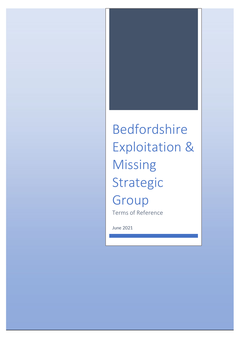# Bedfordshire Exploitation & Missing Strategic Group Terms of Reference

June 2021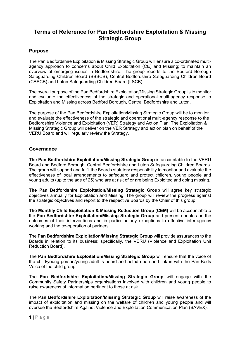# **Terms of Reference for Pan Bedfordshire Exploitation & Missing Strategic Group**

# **Purpose**

The Pan Bedfordshire Exploitation & Missing Strategic Group will ensure a co-ordinated multiagency approach to concerns about Child Exploitation (CE) and Missing; to maintain an overview of emerging issues in Bedfordshire. The group reports to the Bedford Borough Safeguarding Children Board (BBSCB), Central Bedfordshire Safeguarding Children Board (CBSCB) and Luton Safeguarding Children Board (LSCB).

The overall purpose of the Pan Bedfordshire Exploitation/Missing Strategic Group is to monitor and evaluate the effectiveness of the strategic and operational multi-agency response to Exploitation and Missing across Bedford Borough, Central Bedfordshire and Luton.

The purpose of the Pan Bedfordshire Exploitation/Missing Strategic Group will be to monitor and evaluate the effectiveness of the strategic and operational multi-agency response to the Bedfordshire Violence and Exploitation (VER) Strategy and Action Plan. The Exploitation & Missing Strategic Group will deliver on the VER Strategy and action plan on behalf of the VERU Board and will regularly review the Strategy.

# **Governance**

**The Pan Bedfordshire Exploitation/Missing Strategic Group** is accountable to the VERU Board and Bedford Borough, Central Bedfordshire and Luton Safeguarding Children Boards. The group will support and fulfil the Boards statutory responsibility to monitor and evaluate the effectiveness of local arrangements to safeguard and protect children, young people and young adults (up to the age of 25) who are at risk of or are being Exploited and going missing.

**The Pan Bedfordshire Exploitation/Missing Strategic Group** will agree key strategic objectives annually for Exploitation and Missing. The group will review the progress against the strategic objectives and report to the respective Boards by the Chair of this group.

**The Monthly Child Exploitation & Missing Reduction Group (CEM)** will be accountableto the **Pan Bedfordshire Exploitation/Missing Strategic Group** and present updates on the outcomes of their interventions and in particular any exceptions to effective inter-agency working and the co-operation of partners.

The **Pan Bedfordshire Exploitation/Missing Strategic Group** will provide assurances to the Boards in relation to its business; specifically, the VERU (Violence and Exploitation Unit Reduction Board).

The **Pan Bedfordshire Exploitation/Missing Strategic Group** will ensure that the voice of the child/young person/young adult is heard and acted upon and link in with the Pan Beds Voice of the child group.

The **Pan Bedfordshire Exploitation/Missing Strategic Group** will engage with the Community Safety Partnerships organisations involved with children and young people to raise awareness of information pertinent to those at risk.

The **Pan Bedfordshire Exploitation/Missing Strategic Group** will raise awareness of the impact of exploitation and missing on the welfare of children and young people and will oversee the Bedfordshire Against Violence and Exploitation Communication Plan (BAVEX).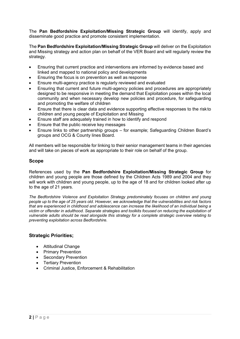The **Pan Bedfordshire Exploitation/Missing Strategic Group** will identify, apply and disseminate good practice and promote consistent implementation.

The **Pan Bedfordshire Exploitation/Missing Strategic Group** will deliver on the Exploitation and Missing strategy and action plan on behalf of the VER Board and will regularly review the strategy.

- Ensuring that current practice and interventions are informed by evidence based and linked and mapped to national policy and developments
- Ensuring the focus is on prevention as well as response
- Ensure multi-agency practice is regularly reviewed and evaluated
- Ensuring that current and future multi-agency policies and procedures are appropriately designed to be responsive in meeting the demand that Exploitation poses within the local community and when necessary develop new policies and procedure, for safeguarding and promoting the welfare of children
- Ensure that there is clear data and evidence supporting effective responses to the risk to children and young people of Exploitation and Missing
- Ensure staff are adequately trained in how to identify and respond
- Ensure that the public receive key messages
- Ensure links to other partnership groups for example; Safeguarding Children Board's groups and OCG & County lines Board.

All members will be responsible for linking to their senior management teams in their agencies and will take on pieces of work as appropriate to their role on behalf of the group.

#### **Scope**

References used by the **Pan Bedfordshire Exploitation/Missing Strategic Group** for children and young people are those defined by the Children Acts 1989 and 2004 and they will work with children and young people, up to the age of 18 and for children looked after up to the age of 21 years.

*The Bedfordshire Violence and Exploitation Strategy predominately focuses on children and young*  people up to the age of 25 years old. However, we acknowledge that the vulnerabilities and risk factors *that are experienced in childhood and adolescence can increase the likelihood of an individual being a victim or offender in adulthood. Separate strategies and toolkits focused on reducing the exploitation of vulnerable adults should be read alongside this strategy for a complete strategic overview relating to preventing exploitation across Bedfordshire.*

## **Strategic Priorities;**

- Attitudinal Change
- Primary Prevention
- Secondary Prevention
- Tertiary Prevention
- Criminal Justice, Enforcement & Rehabilitation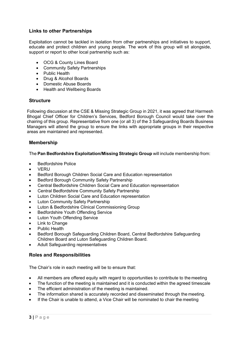# **Links to other Partnerships**

Exploitation cannot be tackled in isolation from other partnerships and initiatives to support, educate and protect children and young people. The work of this group will sit alongside, support or report to other local partnership such as:

- OCG & County Lines Board
- Community Safety Partnerships
- Public Health
- Drug & Alcohol Boards
- Domestic Abuse Boards
- Health and Wellbeing Boards

#### **Structure**

Following discussion at the CSE & Missing Strategic Group in 2021, it was agreed that Harmesh Bhogal Chief Officer for Children's Services, Bedford Borough Council would take over the chairing of this group. Representative from one (or all 3) of the 3 Safeguarding Boards Business Managers will attend the group to ensure the links with appropriate groups in their respective areas are maintained and represented.

## **Membership**

The **Pan Bedfordshire Exploitation/Missing Strategic Group** will include membership from:

- Bedfordshire Police
- VERU
- Bedford Borough Children Social Care and Education representation
- Bedford Borough Community Safety Partnership
- Central Bedfordshire Children Social Care and Education representation
- Central Bedfordshire Community Safety Partnership
- Luton Children Social Care and Education representation
- Luton Community Safety Partnership
- Luton & Bedfordshire Clinical Commissioning Group
- Bedfordshire Youth Offending Service
- **Luton Youth Offending Service**
- **Link to Change**
- Public Health
- Bedford Borough Safeguarding Children Board, Central Bedfordshire Safeguarding Children Board and Luton Safeguarding Children Board.
- Adult Safeguarding representatives

## **Roles and Responsibilities**

The Chair's role in each meeting will be to ensure that:

- All members are offered equity with regard to opportunities to contribute to the meeting
- The function of the meeting is maintained and it is conducted within the agreed timescale
- The efficient administration of the meeting is maintained.
- The information shared is accurately recorded and disseminated through the meeting.
- If the Chair is unable to attend, a Vice Chair will be nominated to chair the meeting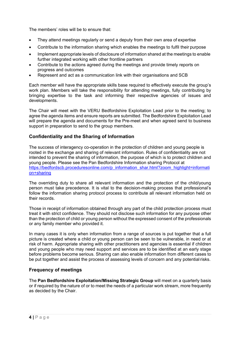The members' roles will be to ensure that:

- They attend meetings regularly or send a deputy from their own area of expertise
- Contribute to the information sharing which enables the meetings to fulfil their purpose
- Implement appropriate levels of disclosure of information shared at the meetings to enable further integrated working with other frontline partners
- Contribute to the actions agreed during the meetings and provide timely reports on progress and outcomes
- Represent and act as a communication link with their organisations and SCB

Each member will have the appropriate skills base required to effectively execute the group's work plan. Members will take the responsibility for attending meetings, fully contributing by bringing expertise to the task and informing their respective agencies of issues and developments.

The Chair will meet with the VERU Bedfordshire Exploitation Lead prior to the meeting; to agree the agenda items and ensure reports are submitted. The Bedfordshire Exploitation Lead will prepare the agenda and documents for the Pre-meet and when agreed send to business support in preparation to send to the group members.

## **Confidentiality and the Sharing of Information**

The success of interagency co-operation in the protection of children and young people is rooted in the exchange and sharing of relevant information. Rules of confidentiality are not intended to prevent the sharing of information, the purpose of which is to protect children and young people. Please see the Pan Bedfordshire Information sharing Protocol at [https://bedfordscb.proceduresonline.com/p\\_information\\_shar.html?zoom\\_highlight=informati](https://bedfordscb.proceduresonline.com/p_information_shar.html?zoom_highlight=information%2Bsharing) [on+sharing](https://bedfordscb.proceduresonline.com/p_information_shar.html?zoom_highlight=information%2Bsharing)

The overriding duty to share all relevant information and the protection of the child/young person must take precedence. It is vital to the decision-making process that professional's follow the information sharing protocol process to contribute all relevant information held on their records.

Those in receipt of information obtained through any part of the child protection process must treat it with strict confidence. They should not disclose such information for any purpose other than the protection of child or young person without the expressed consent of the professionals or any family member who provided it.

In many cases it is only when information from a range of sources is put together that a full picture is created where a child or young person can be seen to be vulnerable, in need or at risk of harm. Appropriate sharing with other practitioners and agencies is essential if children and young people who may need support and services are to be identified at an early stage before problems become serious. Sharing can also enable information from different cases to be put together and assist the process of assessing levels of concern and any potential risks.

# **Frequency of meetings**

The **Pan Bedfordshire Exploitation/Missing Strategic Group** will meet on a quarterly basis or if required by the nature of or to meet the needs of a particular work stream, more frequently as decided by the Chair.